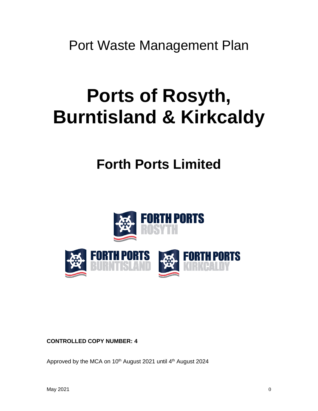Port Waste Management Plan

# **Ports of Rosyth, Burntisland & Kirkcaldy**

## **Forth Ports Limited**



**CONTROLLED COPY NUMBER: 4** 

Approved by the MCA on 10<sup>th</sup> August 2021 until 4<sup>th</sup> August 2024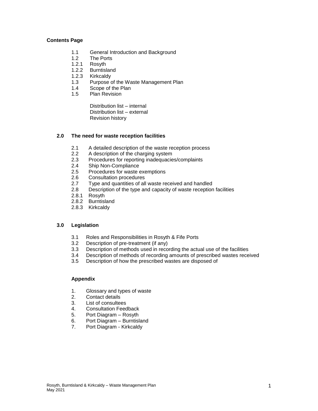#### **Contents Page**

- 1.1 General Introduction and Background
- 1.2 The Ports
- 1.2.1 Rosyth
- 1.2.2 Burntisland
- 1.2.3 Kirkcaldy
- 1.3 Purpose of the Waste Management Plan
- 1.4 Scope of the Plan<br>1.5 Plan Revision
- Plan Revision

Distribution list – internal Distribution list – external Revision history

#### **2.0 The need for waste reception facilities**

- 2.1 A detailed description of the waste reception process
- 2.2 A description of the charging system<br>2.3 Procedures for reporting inadequacie
- Procedures for reporting inadequacies/complaints
- 2.4 Ship Non-Compliance
- 2.5 Procedures for waste exemptions<br>2.6 Consultation procedures
- 2.6 Consultation procedures<br>2.7 Type and quantities of all
- Type and quantities of all waste received and handled
- 2.8 Description of the type and capacity of waste reception facilities
- 2.8.1 Rosyth
- 2.8.2 Burntisland
- 2.8.3 Kirkcaldy

#### **3.0 Legislation**

- 3.1 Roles and Responsibilities in Rosyth & Fife Ports
- 3.2 Description of pre-treatment (if any)
- 3.3 Description of methods used in recording the actual use of the facilities
- 3.4 Description of methods of recording amounts of prescribed wastes received
- 3.5 Description of how the prescribed wastes are disposed of

#### **Appendix**

- 1. Glossary and types of waste
- 2. Contact details
- 3. List of consultees
- 4. Consultation Feedback
- 5. Port Diagram Rosyth<br>6. Port Diagram Burntisl
- Port Diagram Burntisland
- 7. Port Diagram Kirkcaldy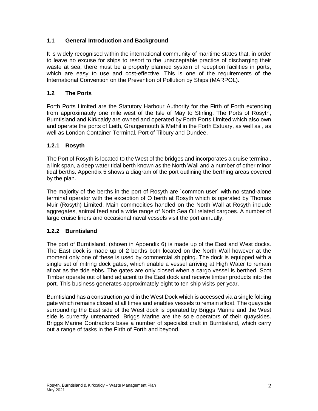#### **1.1 General Introduction and Background**

It is widely recognised within the international community of maritime states that, in order to leave no excuse for ships to resort to the unacceptable practice of discharging their waste at sea, there must be a properly planned system of reception facilities in ports, which are easy to use and cost-effective. This is one of the requirements of the International Convention on the Prevention of Pollution by Ships (MARPOL).

#### **1.2 The Ports**

Forth Ports Limited are the Statutory Harbour Authority for the Firth of Forth extending from approximately one mile west of the Isle of May to Stirling. The Ports of Rosyth, Burntisland and Kirkcaldy are owned and operated by Forth Ports Limited which also own and operate the ports of Leith, Grangemouth & Methil in the Forth Estuary, as well as , as well as London Container Terminal, Port of Tilbury and Dundee.

#### **1.2.1 Rosyth**

The Port of Rosyth is located to the West of the bridges and incorporates a cruise terminal, a link span, a deep water tidal berth known as the North Wall and a number of other minor tidal berths. Appendix 5 shows a diagram of the port outlining the berthing areas covered by the plan.

The majority of the berths in the port of Rosyth are `common user` with no stand-alone terminal operator with the exception of O berth at Rosyth which is operated by Thomas Muir (Rosyth) Limited. Main commodities handled on the North Wall at Rosyth include aggregates, animal feed and a wide range of North Sea Oil related cargoes. A number of large cruise liners and occasional naval vessels visit the port annually.

#### **1.2.2 Burntisland**

The port of Burntisland, (shown in Appendix 6) is made up of the East and West docks. The East dock is made up of 2 berths both located on the North Wall however at the moment only one of these is used by commercial shipping. The dock is equipped with a single set of mitring dock gates, which enable a vessel arriving at High Water to remain afloat as the tide ebbs. The gates are only closed when a cargo vessel is berthed. Scot Timber operate out of land adjacent to the East dock and receive timber products into the port. This business generates approximately eight to ten ship visits per year.

Burntisland has a construction yard in the West Dock which is accessed via a single folding gate which remains closed at all times and enables vessels to remain afloat. The quayside surrounding the East side of the West dock is operated by Briggs Marine and the West side is currently untenanted. Briggs Marine are the sole operators of their quaysides. Briggs Marine Contractors base a number of specialist craft in Burntisland, which carry out a range of tasks in the Firth of Forth and beyond.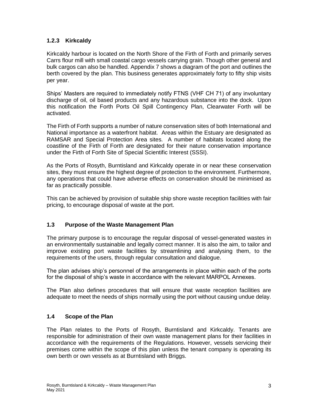#### **1.2.3 Kirkcaldy**

Kirkcaldy harbour is located on the North Shore of the Firth of Forth and primarily serves Carrs flour mill with small coastal cargo vessels carrying grain. Though other general and bulk cargos can also be handled. Appendix 7 shows a diagram of the port and outlines the berth covered by the plan. This business generates approximately forty to fifty ship visits per year.

Ships' Masters are required to immediately notify FTNS (VHF CH 71) of any involuntary discharge of oil, oil based products and any hazardous substance into the dock. Upon this notification the Forth Ports Oil Spill Contingency Plan, Clearwater Forth will be activated.

The Firth of Forth supports a number of nature conservation sites of both International and National importance as a waterfront habitat. Areas within the Estuary are designated as RAMSAR and Special Protection Area sites. A number of habitats located along the coastline of the Firth of Forth are designated for their nature conservation importance under the Firth of Forth Site of Special Scientific Interest (SSSI).

As the Ports of Rosyth, Burntisland and Kirkcaldy operate in or near these conservation sites, they must ensure the highest degree of protection to the environment. Furthermore, any operations that could have adverse effects on conservation should be minimised as far as practically possible.

This can be achieved by provision of suitable ship shore waste reception facilities with fair pricing, to encourage disposal of waste at the port.

#### **1.3 Purpose of the Waste Management Plan**

The primary purpose is to encourage the regular disposal of vessel-generated wastes in an environmentally sustainable and legally correct manner. It is also the aim, to tailor and improve existing port waste facilities by streamlining and analysing them, to the requirements of the users, through regular consultation and dialogue.

The plan advises ship's personnel of the arrangements in place within each of the ports for the disposal of ship's waste in accordance with the relevant MARPOL Annexes.

The Plan also defines procedures that will ensure that waste reception facilities are adequate to meet the needs of ships normally using the port without causing undue delay.

#### **1.4 Scope of the Plan**

The Plan relates to the Ports of Rosyth, Burntisland and Kirkcaldy. Tenants are responsible for administration of their own waste management plans for their facilities in accordance with the requirements of the Regulations. However, vessels servicing their premises come within the scope of this plan unless the tenant company is operating its own berth or own vessels as at Burntisland with Briggs.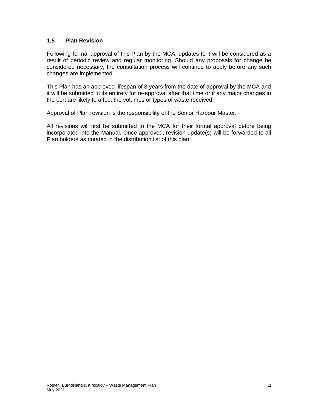#### **1.5 Plan Revision**

Following formal approval of this Plan by the MCA, updates to it will be considered as a result of periodic review and regular monitoring. Should any proposals for change be considered necessary, the consultation process will continue to apply before any such changes are implemented.

This Plan has an approved lifespan of 3 years from the date of approval by the MCA and it will be submitted in its entirety for re-approval after that time or if any major changes in the port are likely to affect the volumes or types of waste received.

Approval of Plan revision is the responsibility of the Senior Harbour Master.

All revisions will first be submitted to the MCA for their formal approval before being incorporated into the Manual. Once approved, revision update(s) will be forwarded to all Plan holders as notated in the distribution list of this plan.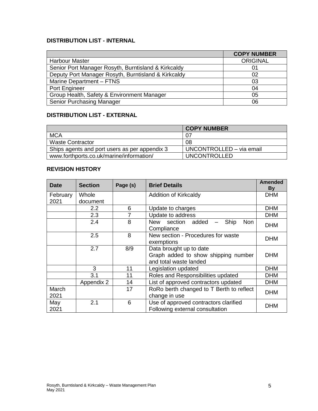#### **DISTRIBUTION LIST - INTERNAL**

|                                                     | <b>COPY NUMBER</b> |
|-----------------------------------------------------|--------------------|
| <b>Harbour Master</b>                               | <b>ORIGINAL</b>    |
| Senior Port Manager Rosyth, Burntisland & Kirkcaldy | 01                 |
| Deputy Port Manager Rosyth, Burntisland & Kirkcaldy | 02                 |
| Marine Department - FTNS                            | 03                 |
| Port Engineer                                       | 04                 |
| Group Health, Safety & Environment Manager          | 05                 |
| <b>Senior Purchasing Manager</b>                    | 06                 |

#### **DISTRIBUTION LIST - EXTERNAL**

|                                               | <b>COPY NUMBER</b>       |
|-----------------------------------------------|--------------------------|
| <b>MCA</b>                                    | 07                       |
| <b>Waste Contractor</b>                       | 08                       |
| Ships agents and port users as per appendix 3 | UNCONTROLLED – via email |
| www.forthports.co.uk/marine/information/      | <b>UNCONTROLLED</b>      |

#### **REVISION HISTORY**

| <b>Date</b>   | <b>Section</b> | Page (s) | <b>Brief Details</b>                                                                     | <b>Amended</b><br><b>By</b> |
|---------------|----------------|----------|------------------------------------------------------------------------------------------|-----------------------------|
| February      | Whole          |          | Addition of Kirkcaldy                                                                    | <b>DHM</b>                  |
| 2021          | document       |          |                                                                                          |                             |
|               | 2.2            | 6        | Update to charges                                                                        | <b>DHM</b>                  |
|               | 2.3            | 7        | Update to address                                                                        | <b>DHM</b>                  |
|               | 2.4            | 8        | New section added<br>Ship<br><b>Non</b><br>Compliance                                    | <b>DHM</b>                  |
|               | 2.5            | 8        | New section - Procedures for waste<br>exemptions                                         | <b>DHM</b>                  |
|               | 2.7            | 8/9      | Data brought up to date<br>Graph added to show shipping number<br>and total waste landed | <b>DHM</b>                  |
|               | 3              | 11       | Legislation updated                                                                      | <b>DHM</b>                  |
|               | 3.1            | 11       | Roles and Responsibilities updated                                                       | <b>DHM</b>                  |
|               | Appendix 2     | 14       | List of approved contractors updated                                                     | <b>DHM</b>                  |
| March<br>2021 |                | 17       | RoRo berth changed to T Berth to reflect<br>change in use                                | <b>DHM</b>                  |
| May<br>2021   | 2.1            | 6        | Use of approved contractors clarified<br>Following external consultation                 | <b>DHM</b>                  |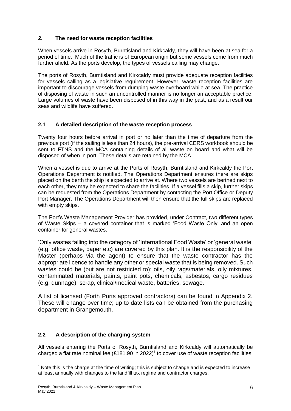#### **2. The need for waste reception facilities**

When vessels arrive in Rosyth, Burntisland and Kirkcaldy, they will have been at sea for a period of time. Much of the traffic is of European origin but some vessels come from much further afield. As the ports develop, the types of vessels calling may change.

The ports of Rosyth, Burntisland and Kirkcaldy must provide adequate reception facilities for vessels calling as a legislative requirement. However, waste reception facilities are important to discourage vessels from dumping waste overboard while at sea. The practice of disposing of waste in such an uncontrolled manner is no longer an acceptable practice. Large volumes of waste have been disposed of in this way in the past, and as a result our seas and wildlife have suffered.

#### **2.1 A detailed description of the waste reception process**

Twenty four hours before arrival in port or no later than the time of departure from the previous port (if the sailing is less than 24 hours), the pre-arrival CERS workbook should be sent to FTNS and the MCA containing details of all waste on board and what will be disposed of when in port. These details are retained by the MCA.

When a vessel is due to arrive at the Ports of Rosyth, Burntisland and Kirkcaldy the Port Operations Department is notified. The Operations Department ensures there are skips placed on the berth the ship is expected to arrive at. Where two vessels are berthed next to each other, they may be expected to share the facilities. If a vessel fills a skip, further skips can be requested from the Operations Department by contacting the Port Office or Deputy Port Manager. The Operations Department will then ensure that the full skips are replaced with empty skips.

The Port's Waste Management Provider has provided, under Contract, two different types of Waste Skips – a covered container that is marked 'Food Waste Only' and an open container for general wastes.

'Only wastes falling into the category of 'International Food Waste' or 'general waste' (e.g. office waste, paper etc) are covered by this plan. It is the responsibility of the Master (perhaps via the agent) to ensure that the waste contractor has the appropriate licence to handle any other or special waste that is being removed. Such wastes could be (but are not restricted to): oils, oily rags/materials, oily mixtures, contaminated materials, paints, paint pots, chemicals, asbestos, cargo residues (e.g. dunnage), scrap, clinical/medical waste, batteries, sewage.

A list of licensed (Forth Ports approved contractors) can be found in Appendix 2. These will change over time; up to date lists can be obtained from the purchasing department in Grangemouth.

### **2.2 A description of the charging system**

All vessels entering the Ports of Rosyth, Burntisland and Kirkcaldy will automatically be charged a flat rate nominal fee  $(E181.90 \text{ in } 2022)^1$  to cover use of waste reception facilities,

1

 $1$  Note this is the charge at the time of writing; this is subject to change and is expected to increase at least annually with changes to the landfill tax regime and contractor charges.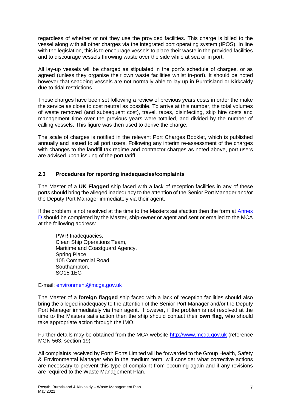regardless of whether or not they use the provided facilities. This charge is billed to the vessel along with all other charges via the integrated port operating system (IPOS). In line with the legislation, this is to encourage vessels to place their waste in the provided facilities and to discourage vessels throwing waste over the side while at sea or in port.

All lay-up vessels will be charged as stipulated in the port's schedule of charges, or as agreed (unless they organise their own waste facilities whilst in-port). It should be noted however that seagoing vessels are not normally able to lay-up in Burntisland or Kirkcaldy due to tidal restrictions.

These charges have been set following a review of previous years costs in order the make the service as close to cost neutral as possible. To arrive at this number, the total volumes of waste removed (and subsequent cost), travel, taxes, disinfecting, skip hire costs and management time over the previous years were totalled, and divided by the number of calling vessels. This figure was then used to derive the charge.

The scale of charges is notified in the relevant Port Charges Booklet, which is published annually and issued to all port users. Following any interim re-assessment of the charges with changes to the landfill tax regime and contractor charges as noted above, port users are advised upon issuing of the port tariff.

#### **2.3 Procedures for reporting inadequacies/complaints**

The Master of a **UK Flagged** ship faced with a lack of reception facilities in any of these ports should bring the alleged inadequacy to the attention of the Senior Port Manager and/or the Deputy Port Manager immediately via their agent.

If the problem is not resolved at the time to the Masters satisfaction then the form at [Annex](https://assets.publishing.service.gov.uk/government/uploads/system/uploads/attachment_data/file/608427/MGN_563_rev_1.pdf)  [D](https://assets.publishing.service.gov.uk/government/uploads/system/uploads/attachment_data/file/608427/MGN_563_rev_1.pdf) should be completed by the Master, ship-owner or agent and sent or emailed to the MCA at the following address:

PWR Inadequacies, Clean Ship Operations Team, Maritime and Coastguard Agency, Spring Place, 105 Commercial Road, Southampton, SO15 1EG

E-mail: [environment@mcga.gov.uk](mailto:environment@mcga.gov.uk)

The Master of a **foreign flagged** ship faced with a lack of reception facilities should also bring the alleged inadequacy to the attention of the Senior Port Manager and/or the Deputy Port Manager immediately via their agent. However, if the problem is not resolved at the time to the Masters satisfaction then the ship should contact their **own flag,** who should take appropriate action through the IMO.

Further details may be obtained from the MCA website [http://www.mcga.gov.uk](http://www.mcga.gov.uk/) (reference MGN 563, section 19)

All complaints received by Forth Ports Limited will be forwarded to the Group Health, Safety & Environmental Manager who in the medium term, will consider what corrective actions are necessary to prevent this type of complaint from occurring again and if any revisions are required to the Waste Management Plan.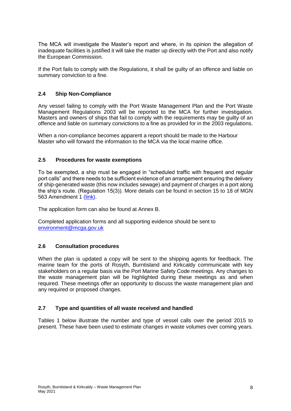The MCA will investigate the Master's report and where, in its opinion the allegation of inadequate facilities is justified it will take the matter up directly with the Port and also notify the European Commission.

If the Port fails to comply with the Regulations, it shall be guilty of an offence and liable on summary conviction to a fine.

#### **2.4 Ship Non-Compliance**

Any vessel failing to comply with the Port Waste Management Plan and the Port Waste Management Regulations 2003 will be reported to the MCA for further investigation. Masters and owners of ships that fail to comply with the requirements may be guilty of an offence and liable on summary convictions to a fine as provided for in the 2003 regulations.

When a non-compliance becomes apparent a report should be made to the Harbour Master who will forward the information to the MCA via the local marine office.

#### **2.5 Procedures for waste exemptions**

To be exempted, a ship must be engaged in "scheduled traffic with frequent and regular port calls" and there needs to be sufficient evidence of an arrangement ensuring the delivery of ship-generated waste (this now includes sewage) and payment of charges in a port along the ship's route. (Regulation 15(3)). More details can be found in section 15 to 18 of MGN 563 Amendment 1 [\(link\)](https://protect-eu.mimecast.com/s/b49WCA6LYuNJm6ESGZqDN?domain=assets.publishing.service.gov.uk).

The application form can also be found at Annex B.

Completed application forms and all supporting evidence should be sent to [environment@mcga.gov.uk](mailto:environment@mcga.gov.uk)

#### **2.6 Consultation procedures**

When the plan is updated a copy will be sent to the shipping agents for feedback. The marine team for the ports of Rosyth, Burntisland and Kirkcaldy communicate with key stakeholders on a regular basis via the Port Marine Safety Code meetings. Any changes to the waste management plan will be highlighted during these meetings as and when required. These meetings offer an opportunity to discuss the waste management plan and any required or proposed changes.

#### **2.7 Type and quantities of all waste received and handled**

Tables 1 below illustrate the number and type of vessel calls over the period 2015 to present. These have been used to estimate changes in waste volumes over coming years.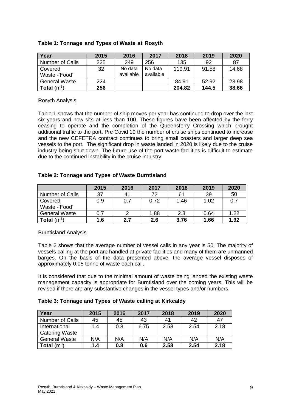| Year                 | 2015 | 2016                 | 2017                 | 2018   | 2019  | 2020  |
|----------------------|------|----------------------|----------------------|--------|-------|-------|
| Number of Calls      | 225  | 249                  | 256                  | 135    | 92    | 87    |
| Covered              | 32   | No data<br>available | No data<br>available | 119.91 | 91.58 | 14.68 |
| Waste -'Food'        |      |                      |                      |        |       |       |
| <b>General Waste</b> | 224  |                      |                      | 84.91  | 52.92 | 23.98 |
| <b>Total</b> $(m^3)$ | 256  |                      |                      | 204.82 | 144.5 | 38.66 |

#### **Table 1: Tonnage and Types of Waste at Rosyth**

#### Rosyth Analysis

Table 1 shows that the number of ship moves per year has continued to drop over the last six years and now sits at less than 100. These figures have been affected by the ferry ceasing to operate and the completion of the Queensferry Crossing which brought additional traffic to the port. Pre Covid 19 the number of cruise ships continued to increase and the new CEFETRA contract continues to bring small coasters and larger deep sea vessels to the port. The significant drop in waste landed in 2020 is likely due to the cruise industry being shut down. The future use of the port waste facilities is difficult to estimate due to the continued instability in the cruise industry.

#### **Table 2: Tonnage and Types of Waste Burntisland**

|                        | 2015 | 2016 | 2017 | 2018 | 2019 | 2020 |
|------------------------|------|------|------|------|------|------|
| <b>Number of Calls</b> | 37   | 41   | 72   | 61   | 39   | 50   |
| Covered                | 0.9  | 0.7  | 0.72 | 1.46 | 1.02 | 0.7  |
| Waste - Food'          |      |      |      |      |      |      |
| <b>General Waste</b>   | 0.7  |      | 1.88 | 2.3  | 0.64 | 1.22 |
| Total $(m^3)$          | 1.6  | 2.7  | 2.6  | 3.76 | 1.66 | 1.92 |

#### Burntisland Analysis

Table 2 shows that the average number of vessel calls in any year is 50. The majority of vessels calling at the port are handled at private facilities and many of them are unmanned barges. On the basis of the data presented above, the average vessel disposes of approximately 0.05 tonne of waste each call.

It is considered that due to the minimal amount of waste being landed the existing waste management capacity is appropriate for Burntisland over the coming years. This will be revised if there are any substantive changes in the vessel types and/or numbers.

#### **Table 3: Tonnage and Types of Waste calling at Kirkcaldy**

| Year                   | 2015 | 2016 | 2017 | 2018 | 2019 | 2020 |
|------------------------|------|------|------|------|------|------|
| <b>Number of Calls</b> | 45   | 45   | 43   | 41   | 42   | 47   |
| International          | 1.4  | 0.8  | 6.75 | 2.58 | 2.54 | 2.18 |
| Catering Waste         |      |      |      |      |      |      |
| <b>General Waste</b>   | N/A  | N/A  | N/A  | N/A  | N/A  | N/A  |
| <b>Total</b> $(m^3)$   | 1.4  | 0.8  | 0.6  | 2.58 | 2.54 | 2.18 |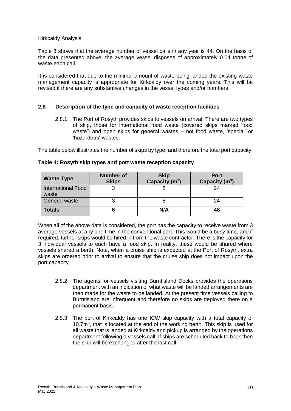#### Kirkcaldy Analysis

Table 3 shows that the average number of vessel calls in any year is 44. On the basis of the data presented above, the average vessel disposes of approximately 0.04 tonne of waste each call.

It is considered that due to the minimal amount of waste being landed the existing waste management capacity is appropriate for Kirkcaldy over the coming years. This will be revised if there are any substantive changes in the vessel types and/or numbers.

#### **2.8 Description of the type and capacity of waste reception facilities**

2.8.1 The Port of Rosyth provides skips to vessels on arrival. There are two types of skip, those for international food waste (covered skips marked 'food waste') and open skips for general wastes – not food waste, 'special' or 'hazardous' wastes.

The table below illustrates the number of skips by type, and therefore the total port capacity.

| <b>Waste Type</b>                  | <b>Number of</b><br><b>Skips</b> | <b>Skip</b><br>Capacity (m <sup>3</sup> ) | <b>Port</b><br>Capacity $(m^3)$ |
|------------------------------------|----------------------------------|-------------------------------------------|---------------------------------|
| <b>International Food</b><br>waste |                                  |                                           | 24                              |
| <b>General waste</b>               |                                  |                                           | 24                              |
| <b>Totals</b>                      |                                  | N/A                                       | 48                              |

#### **Table 4: Rosyth skip types and port waste reception capacity**

When all of the above data is considered, the port has the capacity to receive waste from 3 average vessels at any one time in the conventional port. This would be a busy time, and if required, further skips would be hired in from the waste contractor. There is the capacity for 3 individual vessels to each have a food skip. In reality, these would be shared where vessels shared a berth. Note, when a cruise ship is expected at the Port of Rosyth, extra skips are ordered prior to arrival to ensure that the cruise ship does not impact upon the port capacity.

- 2.8.2 The agents for vessels visiting Burntisland Docks provides the operations department with an indication of what waste will be landed arrangements are then made for the waste to be landed. At the present time vessels calling to Burntisland are infrequent and therefore no skips are deployed there on a permanent basis.
- 2.8.3 The port of Kirkcaldy has one ICW skip capacity with a total capacity of 10.7m<sup>3</sup> , that is located at the end of the working berth. This skip is used for all waste that is landed at Kirkcaldy and pickup is arranged by the operations department following a vessels call. If ships are scheduled back to back then the skip will be exchanged after the last call.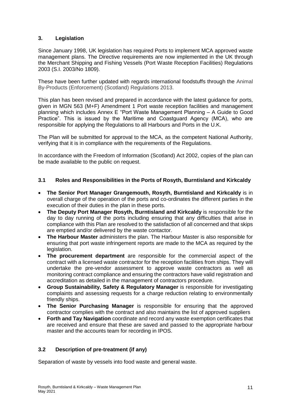#### **3. Legislation**

Since January 1998, UK legislation has required Ports to implement MCA approved waste management plans. The Directive requirements are now implemented in the UK through the Merchant Shipping and Fishing Vessels (Port Waste Reception Facilities) Regulations 2003 (S.I. 2003/No 1809).

These have been further updated with regards international foodstuffs through the Animal By-Products (Enforcement) (Scotland) Regulations 2013.

This plan has been revised and prepared in accordance with the latest guidance for ports, given in MGN 563 (M+F) Amendment 1 Port waste reception facilities and management planning which includes Annex E "Port Waste Management Planning – A Guide to Good Practice". This is issued by the Maritime and Coastguard Agency (MCA), who are responsible for applying the Regulations to all Harbours and Ports in the U.K.

The Plan will be submitted for approval to the MCA, as the competent National Authority, verifying that it is in compliance with the requirements of the Regulations.

In accordance with the Freedom of Information (Scotland) Act 2002, copies of the plan can be made available to the public on request.

#### **3.1 Roles and Responsibilities in the Ports of Rosyth, Burntisland and Kirkcaldy**

- **The Senior Port Manager Grangemouth, Rosyth, Burntisland and Kirkcaldy** is in overall charge of the operation of the ports and co-ordinates the different parties in the execution of their duties in the plan in these ports.
- **The Deputy Port Manager Rosyth, Burntisland and Kirkcaldy** is responsible for the day to day running of the ports including ensuring that any difficulties that arise in compliance with this Plan are resolved to the satisfaction of all concerned and that skips are emptied and/or delivered by the waste contactor.
- **The Harbour Master** administers the plan. The Harbour Master is also responsible for ensuring that port waste infringement reports are made to the MCA as required by the legislation.
- **The procurement department** are responsible for the commercial aspect of the contract with a licensed waste contractor for the reception facilities from ships. They will undertake the pre-vendor assessment to approve waste contractors as well as monitoring contract compliance and ensuring the contractors have valid registration and accreditation as detailed in the management of contractors procedure.
- **Group Sustainability, Safety & Regulatory Manager** is responsible for investigating complaints and assessing requests for a charge reduction relating to environmentally friendly ships.
- **The Senior Purchasing Manager** is responsible for ensuring that the approved contractor complies with the contract and also maintains the list of approved suppliers
- **Forth and Tay Navigation** coordinate and record any waste exemption certificates that are received and ensure that these are saved and passed to the appropriate harbour master and the accounts team for recording in IPOS.

#### **3.2 Description of pre-treatment (if any)**

Separation of waste by vessels into food waste and general waste.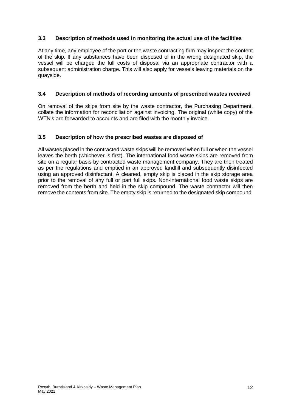#### **3.3 Description of methods used in monitoring the actual use of the facilities**

At any time, any employee of the port or the waste contracting firm may inspect the content of the skip. If any substances have been disposed of in the wrong designated skip, the vessel will be charged the full costs of disposal via an appropriate contractor with a subsequent administration charge. This will also apply for vessels leaving materials on the quayside.

#### **3.4 Description of methods of recording amounts of prescribed wastes received**

On removal of the skips from site by the waste contractor, the Purchasing Department, collate the information for reconciliation against invoicing. The original (white copy) of the WTN's are forwarded to accounts and are filed with the monthly invoice.

#### **3.5 Description of how the prescribed wastes are disposed of**

All wastes placed in the contracted waste skips will be removed when full or when the vessel leaves the berth (whichever is first). The international food waste skips are removed from site on a regular basis by contracted waste management company. They are then treated as per the regulations and emptied in an approved landfill and subsequently disinfected using an approved disinfectant. A cleaned, empty skip is placed in the skip storage area prior to the removal of any full or part full skips. Non-international food waste skips are removed from the berth and held in the skip compound. The waste contractor will then remove the contents from site. The empty skip is returned to the designated skip compound.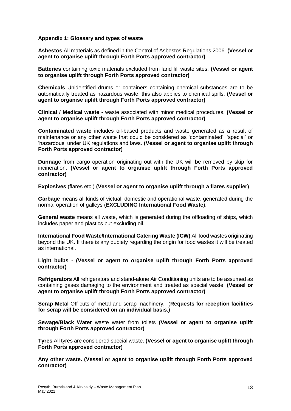#### **Appendix 1: Glossary and types of waste**

**Asbestos** All materials as defined in the Control of Asbestos Regulations 2006. **(Vessel or agent to organise uplift through Forth Ports approved contractor)**

**Batteries** containing toxic materials excluded from land fill waste sites. **(Vessel or agent to organise uplift through Forth Ports approved contractor)**

**Chemicals** Unidentified drums or containers containing chemical substances are to be automatically treated as hazardous waste, this also applies to chemical spills. **(Vessel or agent to organise uplift through Forth Ports approved contractor)**

**Clinical / Medical waste -** waste associated with minor medical procedures. **(Vessel or agent to organise uplift through Forth Ports approved contractor)**

**Contaminated waste** includes oil-based products and waste generated as a result of maintenance or any other waste that could be considered as 'contaminated', 'special' or 'hazardous' under UK regulations and laws. **(Vessel or agent to organise uplift through Forth Ports approved contractor)**

**Dunnage** from cargo operation originating out with the UK will be removed by skip for incineration. **(Vessel or agent to organise uplift through Forth Ports approved contractor)**

**Explosives** (flares etc.) **(Vessel or agent to organise uplift through a flares supplier)**

**Garbage** means all kinds of victual, domestic and operational waste, generated during the normal operation of galleys (**EXCLUDING International Food Waste**).

**General waste** means all waste, which is generated during the offloading of ships, which includes paper and plastics but excluding oil.

**International Food Waste/International Catering Waste (ICW)** All food wastes originating beyond the UK. If there is any dubiety regarding the origin for food wastes it will be treated as international.

**Light bulbs - (Vessel or agent to organise uplift through Forth Ports approved contractor)**

**Refrigerators** All refrigerators and stand-alone Air Conditioning units are to be assumed as containing gases damaging to the environment and treated as special waste. **(Vessel or agent to organise uplift through Forth Ports approved contractor)**

**Scrap Metal** Off cuts of metal and scrap machinery. (**Requests for reception facilities for scrap will be considered on an individual basis.)**

**Sewage/Black Water** waste water from toilets **(Vessel or agent to organise uplift through Forth Ports approved contractor)**

**Tyres** All tyres are considered special waste. **(Vessel or agent to organise uplift through Forth Ports approved contractor)**

**Any other waste. (Vessel or agent to organise uplift through Forth Ports approved contractor)**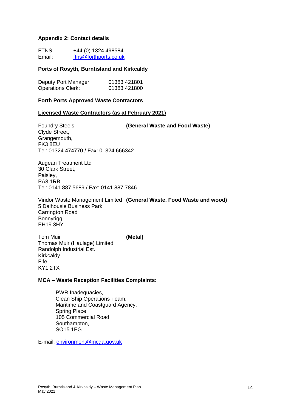#### **Appendix 2: Contact details**

| FTNS:  | +44 (0) 1324 498584   |
|--------|-----------------------|
| Email: | ftns@forthports.co.uk |

#### **Ports of Rosyth, Burntisland and Kirkcaldy**

| Deputy Port Manager:     | 01383 421801 |
|--------------------------|--------------|
| <b>Operations Clerk:</b> | 01383 421800 |

#### **Forth Ports Approved Waste Contractors**

#### **Licensed Waste Contractors (as at February 2021)**

Foundry Steels **(General Waste and Food Waste)** Clyde Street, Grangemouth, FK3 8EU Tel: 01324 474770 / Fax: 01324 666342

Augean Treatment Ltd 30 Clark Street, Paisley, PA3 1RB Tel: 0141 887 5689 / Fax: 0141 887 7846

Viridor Waste Management Limited **(General Waste, Food Waste and wood)** 5 Dalhousie Business Park Carrington Road Bonnyrigg EH19 3HY

Tom Muir **(Metal)** Thomas Muir (Haulage) Limited Randolph Industrial Est. **Kirkcaldy** Fife KY1 2TX

#### **MCA – Waste Reception Facilities Complaints:**

PWR Inadequacies, Clean Ship Operations Team, Maritime and Coastguard Agency, Spring Place, 105 Commercial Road, Southampton, SO15 1EG

E-mail: [environment@mcga.gov.uk](mailto:environment@mcga.gov.uk)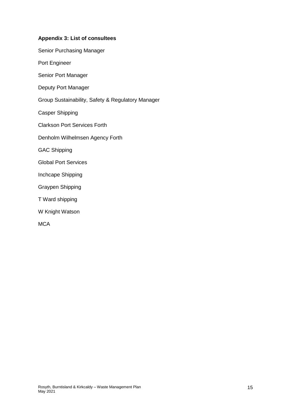#### **Appendix 3: List of consultees**

Port Engineer

Senior Port Manager

Deputy Port Manager

Group Sustainability, Safety & Regulatory Manager

Casper Shipping

Clarkson Port Services Forth

Denholm Wilhelmsen Agency Forth

GAC Shipping

Global Port Services

Inchcape Shipping

Graypen Shipping

T Ward shipping

W Knight Watson

**MCA**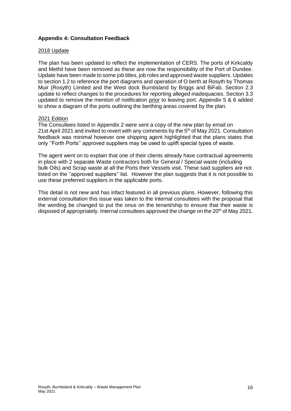#### **Appendix 4: Consultation Feedback**

#### 2018 Update

The plan has been updated to reflect the implementation of CERS. The ports of Kirkcaldy and Methil have been removed as these are now the responsibility of the Port of Dundee. Update have been made to some job titles, job roles and approved waste suppliers. Updates to section 1.2 to reference the port diagrams and operation of O berth at Rosyth by Thomas Muir (Rosyth) Limited and the West dock Burntisland by Briggs and BiFab. Section 2.3 update to reflect changes to the procedures for reporting alleged inadequacies. Section 3.3 updated to remove the mention of notification prior to leaving port. Appendix 5 & 6 added to show a diagram of the ports outlining the berthing areas covered by the plan.

#### 2021 Edition

The Consultees listed in Appendix 2 were sent a copy of the new plan by email on 21st April 2021 and invited to revert with any comments by the 5<sup>th</sup> of May 2021. Consultation feedback was minimal however one shipping agent highlighted that the plans states that only ''Forth Ports'' approved suppliers may be used to uplift special types of waste.

The agent went on to explain that one of their clients already have contractual agreements in place with 2 separate Waste contractors both for General / Special waste (including bulk Oils) and Scrap waste at all the Ports their Vessels visit. These said suppliers are not listed on the ''approved suppliers'' list. However the plan suggests that it is not possible to use these preferred suppliers in the applicable ports.

This detail is not new and has infact featured in all previous plans. However, following this external consultation this issue was taken to the internal consultees with the proposal that the wording be changed to put the onus on the tenant/ship to ensure that their waste is disposed of appropriately. Internal consultees approved the change on the 20<sup>th</sup> of May 2021.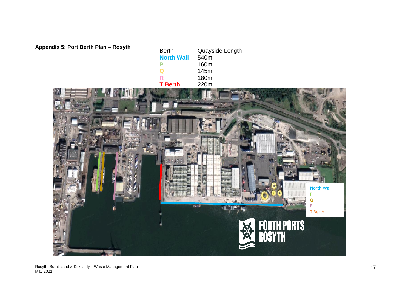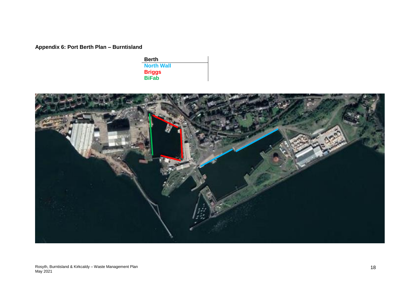**Appendix 6: Port Berth Plan – Burntisland**

**Berth North Wall Briggs BiFab**